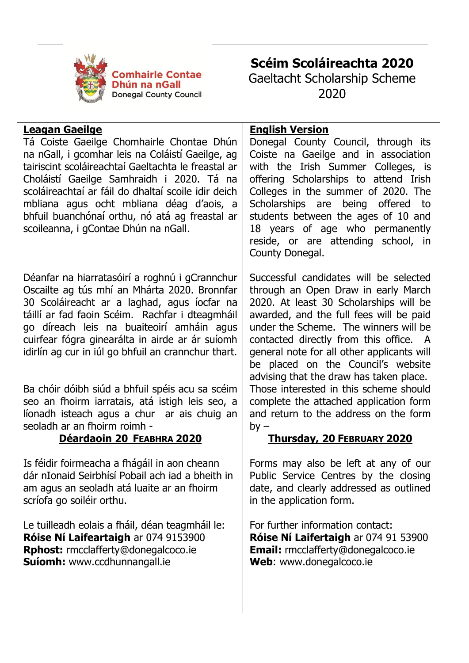

**Scéim Scoláireachta 2020** Gaeltacht Scholarship Scheme 2020

## **Leagan Gaeilge**

Tá Coiste Gaeilge Chomhairle Chontae Dhún na nGall, i gcomhar leis na Coláistí Gaeilge, ag tairiscint scoláireachtaí Gaeltachta le freastal ar Choláistí Gaeilge Samhraidh i 2020. Tá na scoláireachtaí ar fáil do dhaltaí scoile idir deich mbliana agus ocht mbliana déag d'aois, a bhfuil buanchónaí orthu, nó atá ag freastal ar scoileanna, i gContae Dhún na nGall.

Déanfar na hiarratasóirí a roghnú i gCrannchur Oscailte ag tús mhí an Mhárta 2020. Bronnfar 30 Scoláireacht ar a laghad, agus íocfar na táillí ar fad faoin Scéim. Rachfar i dteagmháil go díreach leis na buaiteoirí amháin agus cuirfear fógra ginearálta in airde ar ár suíomh idirlín ag cur in iúl go bhfuil an crannchur thart.

Ba chóir dóibh siúd a bhfuil spéis acu sa scéim seo an fhoirm iarratais, atá istigh leis seo, a líonadh isteach agus a chur ar ais chuig an seoladh ar an fhoirm roimh -

# **Déardaoin 20 FEABHRA 2020**

Is féidir foirmeacha a fhágáil in aon cheann dár nIonaid Seirbhísí Pobail ach iad a bheith in am agus an seoladh atá luaite ar an fhoirm scríofa go soiléir orthu.

Le tuilleadh eolais a fháil, déan teagmháil le: **Róise Ní Laifeartaigh** ar 074 9153900 **Rphost:** rmcclafferty@donegalcoco.ie **Suíomh:** www.ccdhunnangall.ie

# **English Version**

Donegal County Council, through its Coiste na Gaeilge and in association with the Irish Summer Colleges, is offering Scholarships to attend Irish Colleges in the summer of 2020. The Scholarships are being offered to students between the ages of 10 and 18 years of age who permanently reside, or are attending school, in County Donegal.

Successful candidates will be selected through an Open Draw in early March 2020. At least 30 Scholarships will be awarded, and the full fees will be paid under the Scheme. The winners will be contacted directly from this office. A general note for all other applicants will be placed on the Council's website advising that the draw has taken place. Those interested in this scheme should complete the attached application form and return to the address on the form  $by -$ 

# **Thursday, 20 FEBRUARY 2020**

Forms may also be left at any of our Public Service Centres by the closing date, and clearly addressed as outlined in the application form.

For further information contact: **Róise Ní Laifertaigh** ar 074 91 53900 **Email:** rmcclafferty@donegalcoco.ie **Web**: www.donegalcoco.ie